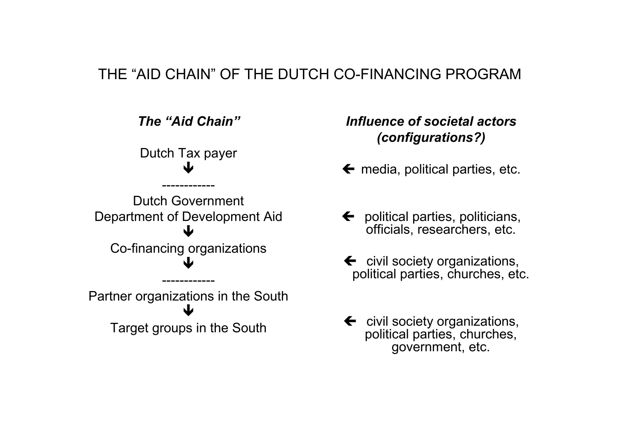#### THE "AID CHAIN" OF THE DUTCH CO-FINANCING PROGRAM



#### Influence of societal actors(configurations?)

- $\leftarrow$  media, political parties, etc.
- ← political parties, politicians,<br>officials, researchers, etc. officials, researchers, etc.
- $\leftarrow$  civil society organizations, civil society organizations, political parties, churches, etc.
- ← civil society organizations,<br>political parties, churches, political parties, churches, government, etc.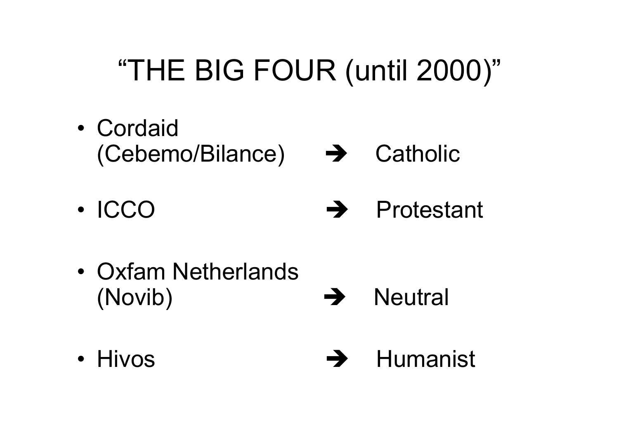# "THE BIG FOUR (until 2000)"

- •Cordaid<br>Cohom (Cebemo/Bilance) → Catholic
- •**ICCO**  $\rightarrow$  Protestant
- •Oxfam Netherlands (Novib)  $\rightarrow$ **Neutral**
- Hivos  $\rightarrow$ Humanist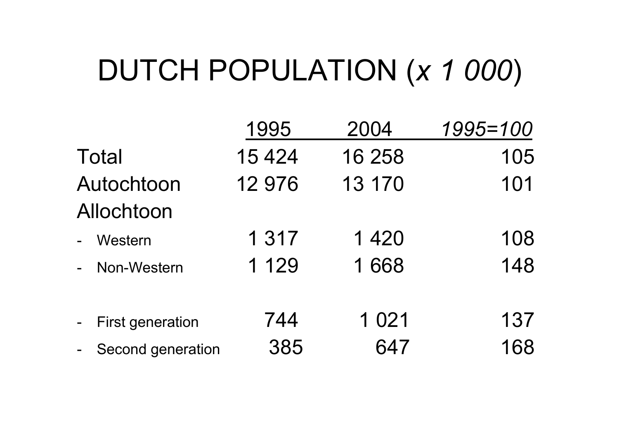#### DUTCH POPULATION (x 1 000)

|                                                         | 1995    | 2004    | 1995=100 |
|---------------------------------------------------------|---------|---------|----------|
| <b>Total</b>                                            | 15 4 24 | 16 258  | 105      |
| Autochtoon                                              | 12 976  | 13 170  | 101      |
| Allochtoon                                              |         |         |          |
| Western                                                 | 1 3 1 7 | 1 4 2 0 | 108      |
| Non-Western                                             | 1 1 2 9 | 1668    | 148      |
| <b>First generation</b><br>$\qquad \qquad \blacksquare$ | 744     | 1 0 2 1 | 137      |
| Second generation                                       | 385     | 647     | 168      |
|                                                         |         |         |          |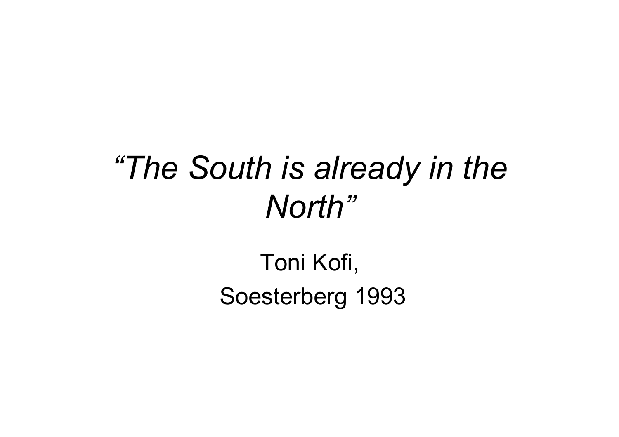# "The South is already in the North"

#### Toni Kofi,Soesterberg 1993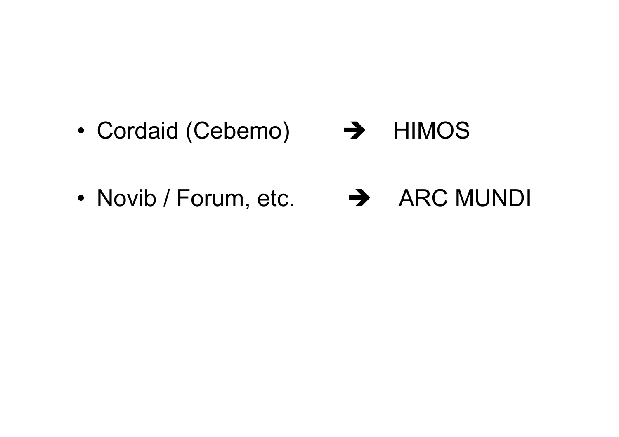- •Cordaid (Cebemo)  $\rightarrow$  HIMOS
- •Novib / Forum, etc. → ARC MUNDI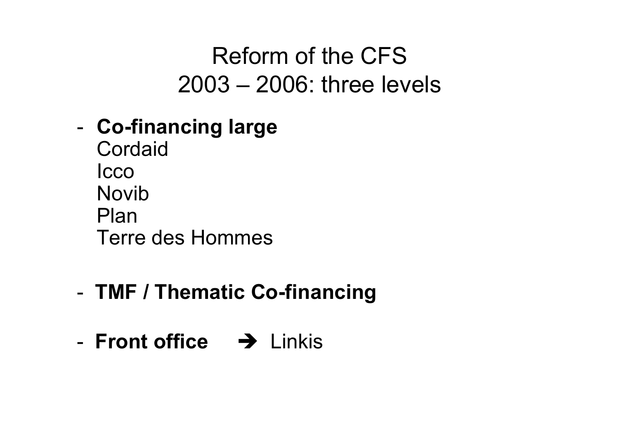### Reform of the CFS2003 – 2006: three levels

#### -Co-financing large

**Cordaid** Icco Novib PlanTerre des Hommes

#### -- TMF / Thematic Co-financing

-- Front office  $\rightarrow$  Linkis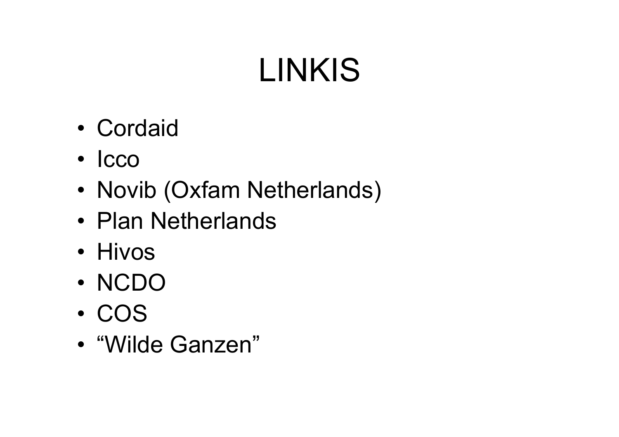# LINKIS

- •Cordaid
- Icco
- •Novib (Oxfam Netherlands)
- Plan Netherlands
- Hivos
- •NCDO<br>000
- • • • COS
- •"Wilde Ganzen"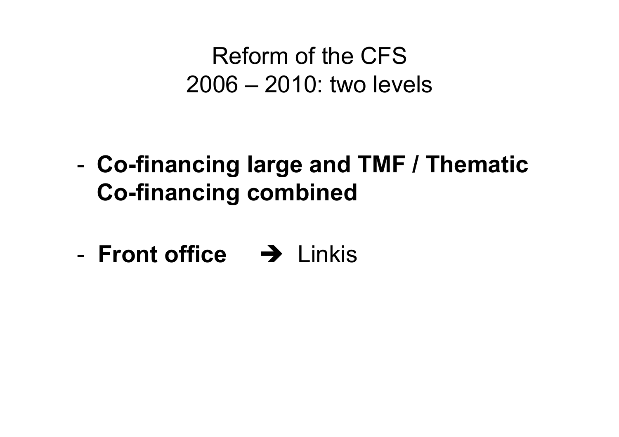### Reform of the CFS2006 – 2010: two levels

- - Co-financing large and TMF / Thematic Co-financing combined
- -- Front office  $\rightarrow$  Linkis